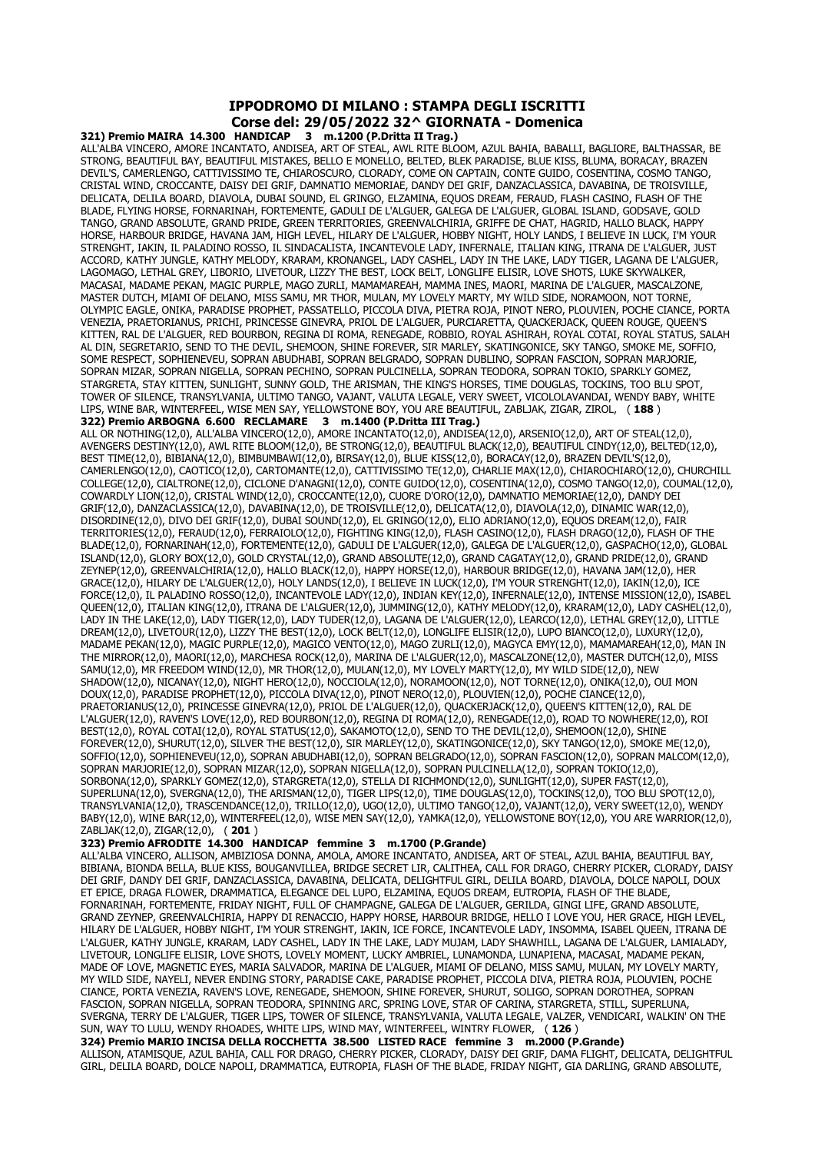## **IPPODROMO DI MILANO : STAMPA DEGLI ISCRITTI Corse del: 29/05/2022 32^ GIORNATA - Domenica**

**321) Premio MAIRA 14.300 HANDICAP 3 m.1200 (P.Dritta II Trag.)** ALL'ALBA VINCERO, AMORE INCANTATO, ANDISEA, ART OF STEAL, AWL RITE BLOOM, AZUL BAHIA, BABALLI, BAGLIORE, BALTHASSAR, BE STRONG, BEAUTIFUL BAY, BEAUTIFUL MISTAKES, BELLO E MONELLO, BELTED, BLEK PARADISE, BLUE KISS, BLUMA, BORACAY, BRAZEN DEVIL'S, CAMERLENGO, CATTIVISSIMO TE, CHIAROSCURO, CLORADY, COME ON CAPTAIN, CONTE GUIDO, COSENTINA, COSMO TANGO, CRISTAL WIND, CROCCANTE, DAISY DEI GRIF, DAMNATIO MEMORIAE, DANDY DEI GRIF, DANZACLASSICA, DAVABINA, DE TROISVILLE, DELICATA, DELILA BOARD, DIAVOLA, DUBAI SOUND, EL GRINGO, ELZAMINA, EQUOS DREAM, FERAUD, FLASH CASINO, FLASH OF THE BLADE, FLYING HORSE, FORNARINAH, FORTEMENTE, GADULI DE L'ALGUER, GALEGA DE L'ALGUER, GLOBAL ISLAND, GODSAVE, GOLD TANGO, GRAND ABSOLUTE, GRAND PRIDE, GREEN TERRITORIES, GREENVALCHIRIA, GRIFFE DE CHAT, HAGRID, HALLO BLACK, HAPPY HORSE, HARBOUR BRIDGE, HAVANA JAM, HIGH LEVEL, HILARY DE L'ALGUER, HOBBY NIGHT, HOLY LANDS, I BELIEVE IN LUCK, I'M YOUR STRENGHT, IAKIN, IL PALADINO ROSSO, IL SINDACALISTA, INCANTEVOLE LADY, INFERNALE, ITALIAN KING, ITRANA DE L'ALGUER, JUST ACCORD, KATHY JUNGLE, KATHY MELODY, KRARAM, KRONANGEL, LADY CASHEL, LADY IN THE LAKE, LADY TIGER, LAGANA DE L'ALGUER, LAGOMAGO, LETHAL GREY, LIBORIO, LIVETOUR, LIZZY THE BEST, LOCK BELT, LONGLIFE ELISIR, LOVE SHOTS, LUKE SKYWALKER, MACASAI, MADAME PEKAN, MAGIC PURPLE, MAGO ZURLI, MAMAMAREAH, MAMMA INES, MAORI, MARINA DE L'ALGUER, MASCALZONE, MASTER DUTCH, MIAMI OF DELANO, MISS SAMU, MR THOR, MULAN, MY LOVELY MARTY, MY WILD SIDE, NORAMOON, NOT TORNE, OLYMPIC EAGLE, ONIKA, PARADISE PROPHET, PASSATELLO, PICCOLA DIVA, PIETRA ROJA, PINOT NERO, PLOUVIEN, POCHE CIANCE, PORTA VENEZIA, PRAETORIANUS, PRICHI, PRINCESSE GINEVRA, PRIOL DE L'ALGUER, PURCIARETTA, QUACKERJACK, QUEEN ROUGE, QUEEN'S KITTEN, RAL DE L'ALGUER, RED BOURBON, REGINA DI ROMA, RENEGADE, ROBBIO, ROYAL ASHIRAH, ROYAL COTAI, ROYAL STATUS, SALAH AL DIN, SEGRETARIO, SEND TO THE DEVIL, SHEMOON, SHINE FOREVER, SIR MARLEY, SKATINGONICE, SKY TANGO, SMOKE ME, SOFFIO, SOME RESPECT, SOPHIENEVEU, SOPRAN ABUDHABI, SOPRAN BELGRADO, SOPRAN DUBLINO, SOPRAN FASCION, SOPRAN MARJORIE, SOPRAN MIZAR, SOPRAN NIGELLA, SOPRAN PECHINO, SOPRAN PULCINELLA, SOPRAN TEODORA, SOPRAN TOKIO, SPARKLY GOMEZ, STARGRETA, STAY KITTEN, SUNLIGHT, SUNNY GOLD, THE ARISMAN, THE KING'S HORSES, TIME DOUGLAS, TOCKINS, TOO BLU SPOT, TOWER OF SILENCE, TRANSYLVANIA, ULTIMO TANGO, VAJANT, VALUTA LEGALE, VERY SWEET, VICOLOLAVANDAI, WENDY BABY, WHITE LIPS, WINE BAR, WINTERFEEL, WISE MEN SAY, YELLOWSTONE BOY, YOU ARE BEAUTIFUL, ZABLJAK, ZIGAR, ZIROL, ( **188** ) **322) Premio ARBOGNA 6.600 RECLAMARE 3 m.1400 (P.Dritta III Trag.)**

ALL OR NOTHING(12,0), ALL'ALBA VINCERO(12,0), AMORE INCANTATO(12,0), ANDISEA(12,0), ARSENIO(12,0), ART OF STEAL(12,0), AVENGERS DESTINY(12,0), AWL RITE BLOOM(12,0), BE STRONG(12,0), BEAUTIFUL BLACK(12,0), BEAUTIFUL CINDY(12,0), BELTED(12,0), BEST TIME(12,0), BIBIANA(12,0), BIMBUMBAWI(12,0), BIRSAY(12,0), BLUE KISS(12,0), BORACAY(12,0), BRAZEN DEVIL'S(12,0), CAMERLENGO(12,0), CAOTICO(12,0), CARTOMANTE(12,0), CATTIVISSIMO TE(12,0), CHARLIE MAX(12,0), CHIAROCHIARO(12,0), CHURCHILL COLLEGE(12,0), CIALTRONE(12,0), CICLONE D'ANAGNI(12,0), CONTE GUIDO(12,0), COSENTINA(12,0), COSMO TANGO(12,0), COUMAL(12,0), COWARDLY LION(12,0), CRISTAL WIND(12,0), CROCCANTE(12,0), CUORE D'ORO(12,0), DAMNATIO MEMORIAE(12,0), DANDY DEI GRIF(12,0), DANZACLASSICA(12,0), DAVABINA(12,0), DE TROISVILLE(12,0), DELICATA(12,0), DIAVOLA(12,0), DINAMIC WAR(12,0), DISORDINE(12,0), DIVO DEI GRIF(12,0), DUBAI SOUND(12,0), EL GRINGO(12,0), ELIO ADRIANO(12,0), EQUOS DREAM(12,0), FAIR TERRITORIES(12,0), FERAUD(12,0), FERRAIOLO(12,0), FIGHTING KING(12,0), FLASH CASINO(12,0), FLASH DRAGO(12,0), FLASH OF THE BLADE(12,0), FORNARINAH(12,0), FORTEMENTE(12,0), GADULI DE L'ALGUER(12,0), GALEGA DE L'ALGUER(12,0), GASPACHO(12,0), GLOBAL ISLAND(12,0), GLORY BOX(12,0), GOLD CRYSTAL(12,0), GRAND ABSOLUTE(12,0), GRAND CAGATAY(12,0), GRAND PRIDE(12,0), GRAND ZEYNEP(12,0), GREENVALCHIRIA(12,0), HALLO BLACK(12,0), HAPPY HORSE(12,0), HARBOUR BRIDGE(12,0), HAVANA JAM(12,0), HER GRACE(12,0), HILARY DE L'ALGUER(12,0), HOLY LANDS(12,0), I BELIEVE IN LUCK(12,0), I'M YOUR STRENGHT(12,0), IAKIN(12,0), ICE FORCE(12,0), IL PALADINO ROSSO(12,0), INCANTEVOLE LADY(12,0), INDIAN KEY(12,0), INFERNALE(12,0), INTENSE MISSION(12,0), ISABEL QUEEN(12,0), ITALIAN KING(12,0), ITRANA DE L'ALGUER(12,0), JUMMING(12,0), KATHY MELODY(12,0), KRARAM(12,0), LADY CASHEL(12,0), LADY IN THE LAKE(12,0), LADY TIGER(12,0), LADY TUDER(12,0), LAGANA DE L'ALGUER(12,0), LEARCO(12,0), LETHAL GREY(12,0), LITTLE DREAM(12,0), LIVETOUR(12,0), LIZZY THE BEST(12,0), LOCK BELT(12,0), LONGLIFE ELISIR(12,0), LUPO BIANCO(12,0), LUXURY(12,0), MADAME PEKAN(12,0), MAGIC PURPLE(12,0), MAGICO VENTO(12,0), MAGO ZURLI(12,0), MAGYCA EMY(12,0), MAMAMAREAH(12,0), MAN IN THE MIRROR(12,0), MAORI(12,0), MARCHESA ROCK(12,0), MARINA DE L'ALGUER(12,0), MASCALZONE(12,0), MASTER DUTCH(12,0), MISS SAMU(12,0), MR FREEDOM WIND(12,0), MR THOR(12,0), MULAN(12,0), MY LOVELY MARTY(12,0), MY WILD SIDE(12,0), NEW SHADOW(12,0), NICANAY(12,0), NIGHT HERO(12,0), NOCCIOLA(12,0), NORAMOON(12,0), NOT TORNE(12,0), ONIKA(12,0), OUI MON DOUX(12,0), PARADISE PROPHET(12,0), PICCOLA DIVA(12,0), PINOT NERO(12,0), PLOUVIEN(12,0), POCHE CIANCE(12,0), PRAETORIANUS(12,0), PRINCESSE GINEVRA(12,0), PRIOL DE L'ALGUER(12,0), QUACKERJACK(12,0), QUEEN'S KITTEN(12,0), RAL DE L'ALGUER(12,0), RAVEN'S LOVE(12,0), RED BOURBON(12,0), REGINA DI ROMA(12,0), RENEGADE(12,0), ROAD TO NOWHERE(12,0), ROI BEST(12,0), ROYAL COTAI(12,0), ROYAL STATUS(12,0), SAKAMOTO(12,0), SEND TO THE DEVIL(12,0), SHEMOON(12,0), SHINE FOREVER(12,0), SHURUT(12,0), SILVER THE BEST(12,0), SIR MARLEY(12,0), SKATINGONICE(12,0), SKY TANGO(12,0), SMOKE ME(12,0), SOFFIO(12,0), SOPHIENEVEU(12,0), SOPRAN ABUDHABI(12,0), SOPRAN BELGRADO(12,0), SOPRAN FASCION(12,0), SOPRAN MALCOM(12,0), SOPRAN MARJORIE(12,0), SOPRAN MIZAR(12,0), SOPRAN NIGELLA(12,0), SOPRAN PULCINELLA(12,0), SOPRAN TOKIO(12,0), SORBONA(12,0), SPARKLY GOMEZ(12,0), STARGRETA(12,0), STELLA DI RICHMOND(12,0), SUNLIGHT(12,0), SUPER FAST(12,0), SUPERLUNA(12,0), SVERGNA(12,0), THE ARISMAN(12,0), TIGER LIPS(12,0), TIME DOUGLAS(12,0), TOCKINS(12,0), TOO BLU SPOT(12,0), TRANSYLVANIA(12,0), TRASCENDANCE(12,0), TRILLO(12,0), UGO(12,0), ULTIMO TANGO(12,0), VAJANT(12,0), VERY SWEET(12,0), WENDY BABY(12,0), WINE BAR(12,0), WINTERFEEL(12,0), WISE MEN SAY(12,0), YAMKA(12,0), YELLOWSTONE BOY(12,0), YOU ARE WARRIOR(12,0), ZABLJAK(12,0), ZIGAR(12,0), ( **201** )

## **323) Premio AFRODITE 14.300 HANDICAP femmine 3 m.1700 (P.Grande)**

ALL'ALBA VINCERO, ALLISON, AMBIZIOSA DONNA, AMOLA, AMORE INCANTATO, ANDISEA, ART OF STEAL, AZUL BAHIA, BEAUTIFUL BAY, BIBIANA, BIONDA BELLA, BLUE KISS, BOUGANVILLEA, BRIDGE SECRET LIR, CALITHEA, CALL FOR DRAGO, CHERRY PICKER, CLORADY, DAISY DEI GRIF, DANDY DEI GRIF, DANZACLASSICA, DAVABINA, DELICATA, DELIGHTFUL GIRL, DELILA BOARD, DIAVOLA, DOLCE NAPOLI, DOUX ET EPICE, DRAGA FLOWER, DRAMMATICA, ELEGANCE DEL LUPO, ELZAMINA, EQUOS DREAM, EUTROPIA, FLASH OF THE BLADE, FORNARINAH, FORTEMENTE, FRIDAY NIGHT, FULL OF CHAMPAGNE, GALEGA DE L'ALGUER, GERILDA, GINGI LIFE, GRAND ABSOLUTE, GRAND ZEYNEP, GREENVALCHIRIA, HAPPY DI RENACCIO, HAPPY HORSE, HARBOUR BRIDGE, HELLO I LOVE YOU, HER GRACE, HIGH LEVEL, HILARY DE L'ALGUER, HOBBY NIGHT, I'M YOUR STRENGHT, IAKIN, ICE FORCE, INCANTEVOLE LADY, INSOMMA, ISABEL QUEEN, ITRANA DE L'ALGUER, KATHY JUNGLE, KRARAM, LADY CASHEL, LADY IN THE LAKE, LADY MUJAM, LADY SHAWHILL, LAGANA DE L'ALGUER, LAMIALADY, LIVETOUR, LONGLIFE ELISIR, LOVE SHOTS, LOVELY MOMENT, LUCKY AMBRIEL, LUNAMONDA, LUNAPIENA, MACASAI, MADAME PEKAN, MADE OF LOVE, MAGNETIC EYES, MARIA SALVADOR, MARINA DE L'ALGUER, MIAMI OF DELANO, MISS SAMU, MULAN, MY LOVELY MARTY, MY WILD SIDE, NAYELI, NEVER ENDING STORY, PARADISE CAKE, PARADISE PROPHET, PICCOLA DIVA, PIETRA ROJA, PLOUVIEN, POCHE CIANCE, PORTA VENEZIA, RAVEN'S LOVE, RENEGADE, SHEMOON, SHINE FOREVER, SHURUT, SOLIGO, SOPRAN DOROTHEA, SOPRAN FASCION, SOPRAN NIGELLA, SOPRAN TEODORA, SPINNING ARC, SPRING LOVE, STAR OF CARINA, STARGRETA, STILL, SUPERLUNA, SVERGNA, TERRY DE L'ALGUER, TIGER LIPS, TOWER OF SILENCE, TRANSYLVANIA, VALUTA LEGALE, VALZER, VENDICARI, WALKIN' ON THE SUN, WAY TO LULU, WENDY RHOADES, WHITE LIPS, WIND MAY, WINTERFEEL, WINTRY FLOWER, ( **126** )

**324) Premio MARIO INCISA DELLA ROCCHETTA 38.500 LISTED RACE femmine 3 m.2000 (P.Grande)** ALLISON, ATAMISQUE, AZUL BAHIA, CALL FOR DRAGO, CHERRY PICKER, CLORADY, DAISY DEI GRIF, DAMA FLIGHT, DELICATA, DELIGHTFUL GIRL, DELILA BOARD, DOLCE NAPOLI, DRAMMATICA, EUTROPIA, FLASH OF THE BLADE, FRIDAY NIGHT, GIA DARLING, GRAND ABSOLUTE,